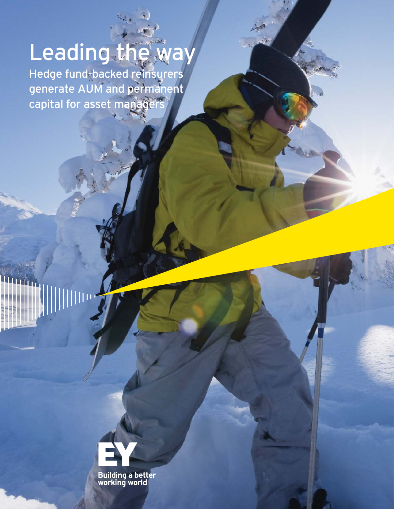# Leading the way

Hedge fund-backed reinsurers generate AUM and permanent capital for asset managers

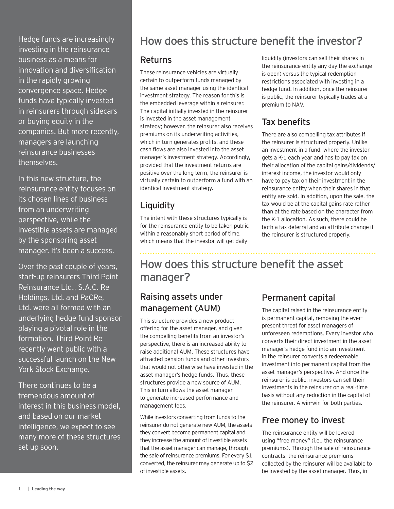Hedge funds are increasingly investing in the reinsurance business as a means for innovation and diversification in the rapidly growing convergence space. Hedge funds have typically invested in reinsurers through sidecars or buying equity in the companies. But more recently, managers are launching reinsurance businesses themselves.

In this new structure, the reinsurance entity focuses on its chosen lines of business from an underwriting perspective, while the investible assets are managed by the sponsoring asset manager. It's been a success.

Over the past couple of years, start-up reinsurers Third Point Reinsurance Ltd., S.A.C. Re Holdings, Ltd. and PaCRe, Ltd. were all formed with an underlying hedge fund sponsor playing a pivotal role in the formation. Third Point Re recently went public with a successful launch on the New York Stock Exchange.

There continues to be a tremendous amount of interest in this business model, and based on our market intelligence, we expect to see many more of these structures set up soon.

## How does this structure benefit the investor?

#### Returns

These reinsurance vehicles are virtually certain to outperform funds managed by the same asset manager using the identical investment strategy. The reason for this is the embedded leverage within a reinsurer. The capital initially invested in the reinsurer is invested in the asset management strategy; however, the reinsurer also receives premiums on its underwriting activities, which in turn generates profits, and these cash flows are also invested into the asset manager's investment strategy. Accordingly, provided that the investment returns are positive over the long term, the reinsurer is virtually certain to outperform a fund with an identical investment strategy.

### Liquidity

The intent with these structures typically is for the reinsurance entity to be taken public within a reasonably short period of time, which means that the investor will get daily

liquidity (investors can sell their shares in the reinsurance entity any day the exchange is open) versus the typical redemption restrictions associated with investing in a hedge fund. In addition, once the reinsurer is public, the reinsurer typically trades at a premium to NAV.

## Tax benefits

There are also compelling tax attributes if the reinsurer is structured properly. Unlike an investment in a fund, where the investor gets a K-1 each year and has to pay tax on their allocation of the capital gains/dividends/ interest income, the investor would only have to pay tax on their investment in the reinsurance entity when their shares in that entity are sold. In addition, upon the sale, the tax would be at the capital gains rate rather than at the rate based on the character from the K-1 allocation. As such, there could be both a tax deferral and an attribute change if the reinsurer is structured properly.

# How does this structure benefit the asset manager?

## Raising assets under management (AUM)

This structure provides a new product offering for the asset manager, and given the compelling benefits from an investor's perspective, there is an increased ability to raise additional AUM. These structures have attracted pension funds and other investors that would not otherwise have invested in the asset manager's hedge funds. Thus, these structures provide a new source of AUM. This in turn allows the asset manager to generate increased performance and management fees.

While investors converting from funds to the reinsurer do not generate new AUM, the assets they convert become permanent capital and they increase the amount of investible assets that the asset manager can manage, through the sale of reinsurance premiums. For every \$1 converted, the reinsurer may generate up to \$2 of investible assets.

#### Permanent capital

The capital raised in the reinsurance entity is permanent capital, removing the everpresent threat for asset managers of unforeseen redemptions. Every investor who converts their direct investment in the asset manager's hedge fund into an investment in the reinsurer converts a redeemable investment into permanent capital from the asset manager's perspective. And once the reinsurer is public, investors can sell their investments in the reinsurer on a real-time basis without any reduction in the capital of the reinsurer. A win-win for both parties.

#### Free money to invest

The reinsurance entity will be levered using "free money" (i.e., the reinsurance premiums). Through the sale of reinsurance contracts, the reinsurance premiums collected by the reinsurer will be available to be invested by the asset manager. Thus, in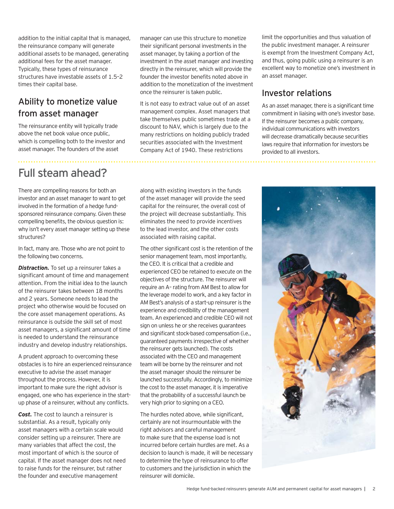addition to the initial capital that is managed, the reinsurance company will generate additional assets to be managed, generating additional fees for the asset manager. Typically, these types of reinsurance structures have investable assets of 1.5–2 times their capital base.

#### Ability to monetize value from asset manager

The reinsurance entity will typically trade above the net book value once public, which is compelling both to the investor and asset manager. The founders of the asset

manager can use this structure to monetize their significant personal investments in the asset manager, by taking a portion of the investment in the asset manager and investing directly in the reinsurer, which will provide the founder the investor benefits noted above in addition to the monetization of the investment once the reinsurer is taken public.

It is not easy to extract value out of an asset management complex. Asset managers that take themselves public sometimes trade at a discount to NAV, which is largely due to the many restrictions on holding publicly traded securities associated with the Investment Company Act of 1940. These restrictions

limit the opportunities and thus valuation of the public investment manager. A reinsurer is exempt from the Investment Company Act, and thus, going public using a reinsurer is an excellent way to monetize one's investment in an asset manager.

#### Investor relations

As an asset manager, there is a significant time commitment in liaising with one's investor base. If the reinsurer becomes a public company, individual communications with investors will decrease dramatically because securities laws require that information for investors be provided to all investors.

# Full steam ahead?

There are compelling reasons for both an investor and an asset manager to want to get involved in the formation of a hedge fundsponsored reinsurance company. Given these compelling benefits, the obvious question is: why isn't every asset manager setting up these structures?

In fact, many are. Those who are not point to the following two concerns.

**Distraction.** To set up a reinsurer takes a significant amount of time and management attention. From the initial idea to the launch of the reinsurer takes between 18 months and 2 years. Someone needs to lead the project who otherwise would be focused on the core asset management operations. As reinsurance is outside the skill set of most asset managers, a significant amount of time is needed to understand the reinsurance industry and develop industry relationships.

A prudent approach to overcoming these obstacles is to hire an experienced reinsurance executive to advise the asset manager throughout the process. However, it is important to make sure the right advisor is engaged, one who has experience in the startup phase of a reinsurer, without any conflicts.

*Cost.* The cost to launch a reinsurer is substantial. As a result, typically only asset managers with a certain scale would consider setting up a reinsurer. There are many variables that affect the cost, the most important of which is the source of capital. If the asset manager does not need to raise funds for the reinsurer, but rather the founder and executive management

along with existing investors in the funds of the asset manager will provide the seed capital for the reinsurer, the overall cost of the project will decrease substantially. This eliminates the need to provide incentives to the lead investor, and the other costs associated with raising capital.

The other significant cost is the retention of the senior management team, most importantly, the CEO. It is critical that a credible and experienced CEO be retained to execute on the objectives of the structure. The reinsurer will require an A– rating from AM Best to allow for the leverage model to work, and a key factor in AM Best's analysis of a start-up reinsurer is the experience and credibility of the management team. An experienced and credible CEO will not sign on unless he or she receives guarantees and significant stock-based compensation (i.e., guaranteed payments irrespective of whether the reinsurer gets launched). The costs associated with the CEO and management team will be borne by the reinsurer and not the asset manager should the reinsurer be launched successfully. Accordingly, to minimize the cost to the asset manager, it is imperative that the probability of a successful launch be very high prior to signing on a CEO.

The hurdles noted above, while significant, certainly are not insurmountable with the right advisors and careful management to make sure that the expense load is not incurred before certain hurdles are met. As a decision to launch is made, it will be necessary to determine the type of reinsurance to offer to customers and the jurisdiction in which the reinsurer will domicile.